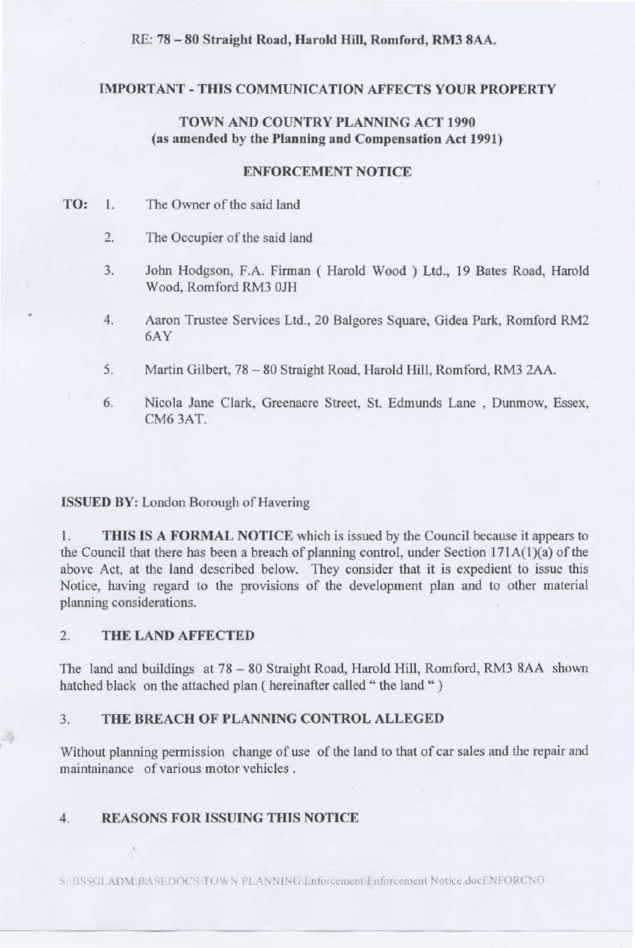RE: 78 - 80 Straight Road, Harold Hill, Romford, RM3 8AA.

#### **IMPORTANT** - **THIS COMMUNICATION AFFECTS YOUR PROPERTY**

### **TOWN AND COUNTRY PLANNING ACT 1990 (as amended by the Planning and Compensation Act 1991)**

#### **ENFORCEMENT NOTICE**

- **TO:** I. The Owner of the said land
	- 2. The Occupier of the said land
	- 3. John Hodgson, F.A. Firman ( Harold Wood ) Ltd., 19 Bates Road. Harold Wood, Romford RM3 OJH
	- 4. Aaron Trustee Services Ltd., 20 Balgores Square, Gidea Park, Romford RM2 6AY
	- 5. Martin Gilbert. 78 80 Straight Road, Harold Hill, Romford, RM3 2AA.
	- 6. Nicola Jane Clark, Greenacre Street, St. Edmunds Lane , Dunmow, Essex, CM63AT.

#### **ISSUED BY:** London Borough of Havering

I. **TffiS lS A FORMAL NOTICE** which is issued by the Council because it appears to the Council that there has been a breach of planning control, under Section  $171A(1)(a)$  of the above Act, at the land described below. They consider that it is expedient to issue this Notice, having regard to the provisions of the development plan and to other material planning considerations.

#### 2. **THE LAND AFFECTED**

The land and buildings at 78 - 80 Straight Road, Harold Hill, Romford, RM3 8AA shown hatched black on the attached plan ( hereinafter called " the land " )

#### 3. **THE BREACH OF PLANNING CONTROL ALLEGED**

Without planning permission change of use of the land to that of car sales and the repair and maintainance of various motor vehicles .

#### 4. **REASONS FOR ISSUING THIS NOTICE**

S:: BSSGLADM BASE DOCS TOWN PLANNING Enforcement Enforcement Notice.docENFORCNO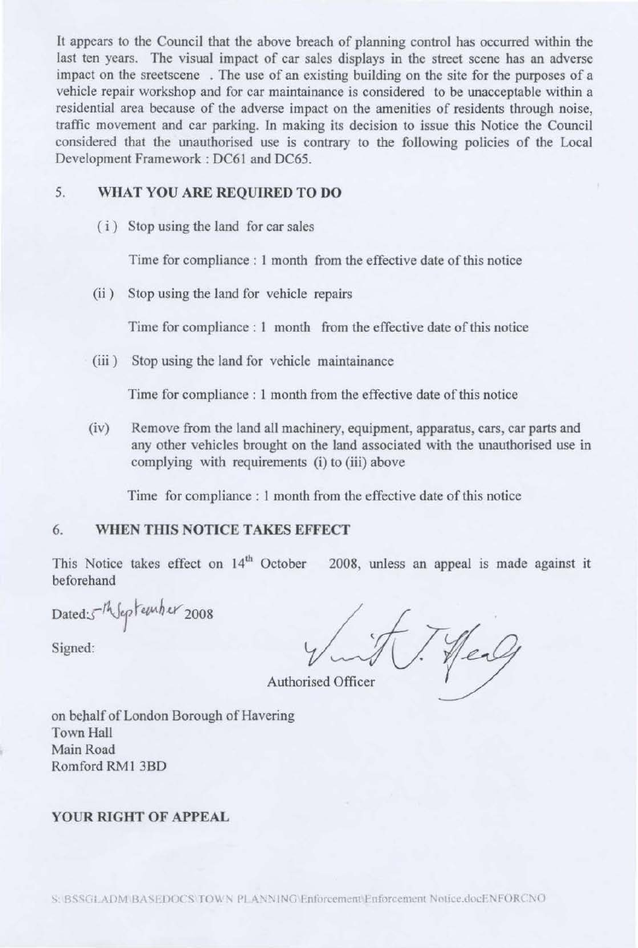It appears to the Council that the above breach of planning control has occurred within the last ten years. The visual impact of car sales displays in the street scene has an adverse impact on the sreetscene . The use of an existing building on the site for the purposes of a vehicle repair workshop and for car maintainance is considered to be unacceptable within a residential area because of the adverse impact on the amenities of residents through noise, traffic movement and car parking. 1n making its decision to issue this Notice the Council considered that the unauthorised use is contrary to the following policies of the Local Development Framework : DC61 and DC65.

### 5. **WHAT YOU ARE REQUIRED TO DO**

( i) Stop using the land for car sales

Time for compliance: 1 month from the effective date of this notice

(ii ) Stop using the land for vehicle repairs

Time for compliance : 1 month from the effective date of this notice

(iii ) Stop using the land for vehicle maintainance

Time for compliance : 1 month from the effective date of this notice

(iv) Remove from the land all machinery, equipment, apparatus, cars, car parts and any other vehicles brought on the land associated with the unauthorised use in complying with requirements (i) to (iii) above

Time for compliance : 1 month from the effective date of this notice

#### 6. **WHEN TIIlS NOTICE TAKES EFFECT**

This Notice takes effect on  $14<sup>th</sup>$  October 2008, unless an appeal is made against it beforehand

Dated:5<sup>1h</sup>Jeptember 2008

Signed:

T. Heal

Authorised Officer

on behalf of London Borough of Havering Town Hall Main Road Romford RMI 3BO

#### **YOUR RIGHT OF APPEAL**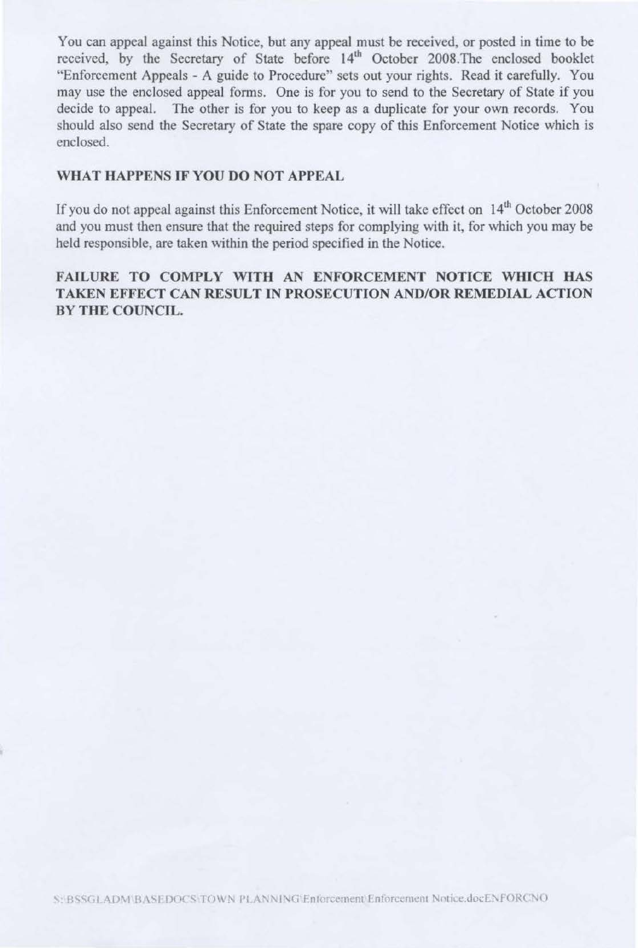You can appeal against this Notice, but any appeal must be received, or posted in time to be received, by the Secretary of State before 14<sup>th</sup> October 2008. The enclosed booklet "Enforcement Appeals - A guide to Procedure" sets out your rights. Read it carefully. You may use the enclosed appeal forms. One is for you to send to the Secretary of State if you decide to appeal. The other is for you to keep as a duplicate for your own records. You should also send the Secretary of State the spare copy of this Enforcement Notice which is enclosed.

### WHAT HAPPENS IF YOU DO NOT APPEAL

If you do not appeal against this Enforcement Notice, it will take effect on 14<sup>th</sup> October 2008 and you must then ensure that the required steps for complying with it, for which you may be held responsible, are taken within the period specified in the Notice.

# FAILURE TO COMPLY WITH AN ENFORCEMENT NOTICE WHICH HAS TAKEN EFFECT CAN RESULT IN PROSECUTION AND/OR REMEDIAL ACTION **BY THE COUNCIL.**

S: BSSGLADM/BASEDOCS/TOWN PLANNING/Enforcement/Enforcement Notice.docENFORCNO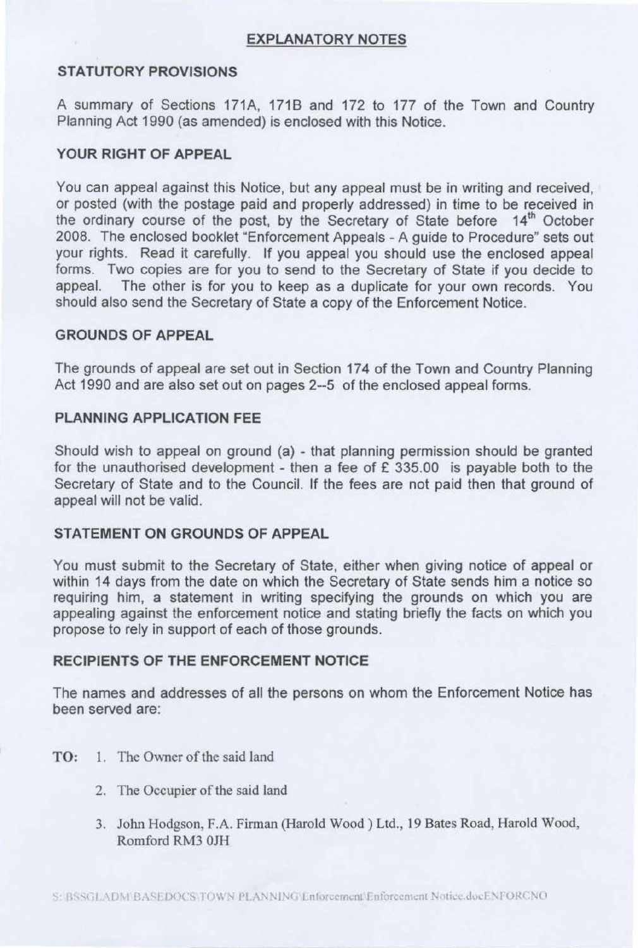# **EXPLANATORY NOTES**

# **STATUTORY PROVISIONS**

A summary of Sections 171A, 1718 and 172 to 177 of the Town and Country Planning Act 1990 (as amended) is enclosed with this Notice.

### **YOUR RIGHT OF APPEAL**

You can appeal against this Notice, but any appeal must be in writing and received, or posted (with the postage paid and properly addressed) in time to be received in the ordinary course of the post, by the Secretary of State before 14<sup>th</sup> October 2008. The enclosed booklet "Enforcement Appeals - A guide to Procedure" sets out your rights. Read it carefully. If you appeal you should use the enclosed appeal forms. Two copies are for you to send to the Secretary of State if you decide to appeal. The other is for you to keep as a duplicate for your own records. You should also send the Secretary of State a copy of the Enforcement Notice.

### **GROUNDS OF APPEAL**

The grounds of appeal are set out in Section 174 of the Town and Country Planning Act 1990 and are also set out on pages 2--5 of the enclosed appeal forms.

# **PLANNING APPLICATION FEE**

Should wish to appeal on ground (a) - that planning permission should be granted for the unauthorised development - then a fee of  $£$  335.00 is payable both to the Secretary of State and to the Council. If the fees are not paid then that ground of appeal will not be valid.

### **STATEMENT ON GROUNDS OF APPEAL**

You must submit to the Secretary of State, either when giving notice of appeal or within 14 days from the date on which the Secretary of State sends him a notice so requiring him, a statement in writing specifying the grounds on which you are appealing against the enforcement notice and stating briefly the facts on which you propose to rely in support of each of those grounds.

# **RECIPIENTS OF THE ENFORCEMENT NOTICE**

The names and addresses of all the persons on whom the Enforcement Notice has been served are:

- **TO:** 1. The Owner of the said land
	- 2. The Occupier of the said land
	- 3. John Hodgson, F.A. Firman (Harold Wood) Ltd., 19 Bates Road, Harold Wood, Romford RM3 OJH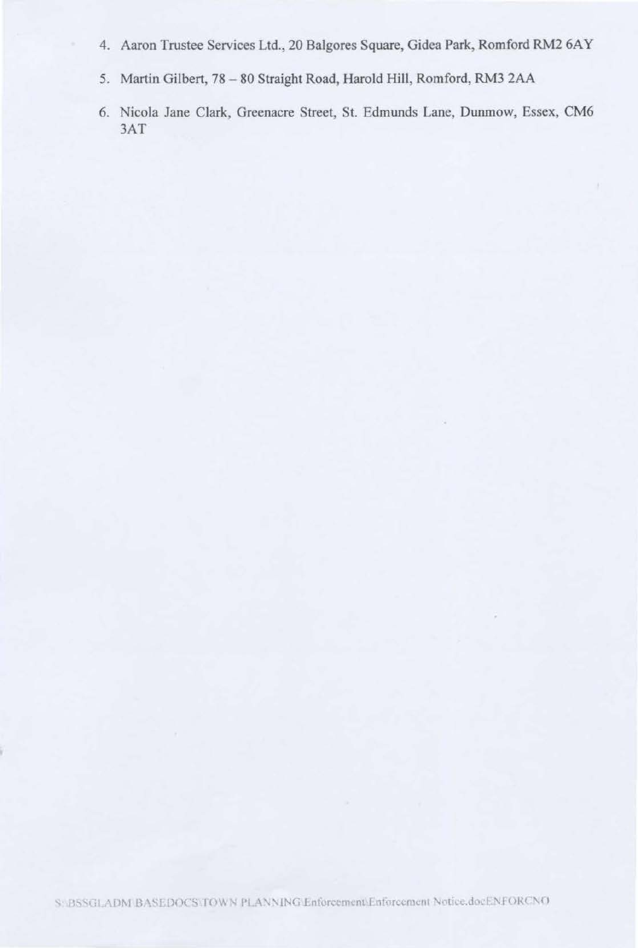- 4. Aaron Trustee Services Ltd., 20 Balgores Square, Gidea Park, Romford RM2 6AY
- 5. Martin Gilbert, 78 80 Straight Road, Harold Hill, Romford, RM3 2AA
- 6. Nicola Jane Clark, Greenacre Street, St. Edmunds Lane, Dunmow, Essex, CM6  $3AT$